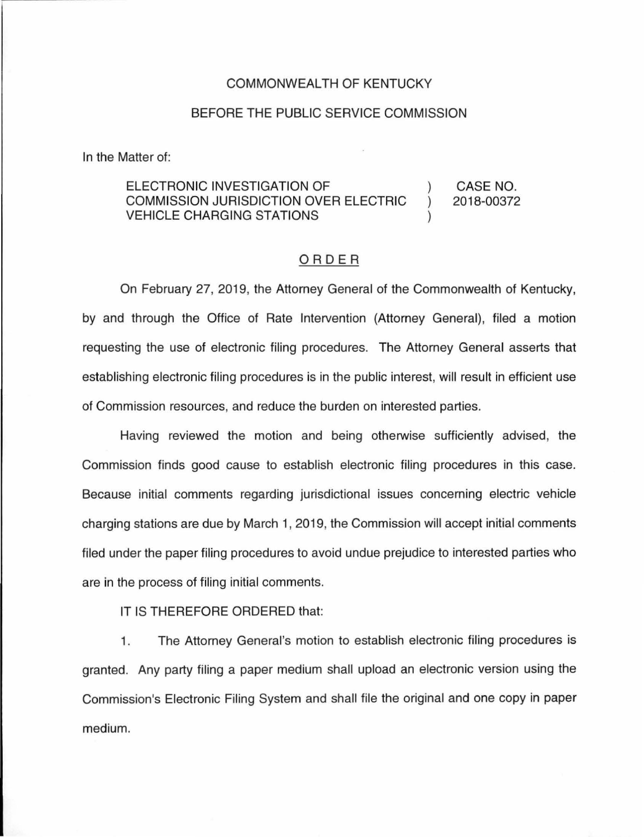### COMMONWEALTH OF KENTUCKY

#### BEFORE THE PUBLIC SERVICE COMMISSION

In the Matter of:

#### ELECTRONIC INVESTIGATION OF ) COMMISSION JURISDICTION OVER ELECTRIC ) VEHICLE CHARGING STATIONS ) CASE NO. 2018-00372

# ORDER

On February 27, 2019, the Attorney General of the Commonwealth of Kentucky, by and through the Office of Rate Intervention (Attorney General), filed a motion requesting the use of electronic filing procedures. The Attorney General asserts that establishing electronic filing procedures is in the public interest, will result in efficient use of Commission resources, and reduce the burden on interested parties.

Having reviewed the motion and being otherwise sufficiently advised, the Commission finds good cause to establish electronic filing procedures in this case. Because initial comments regarding jurisdictional issues concerning electric vehicle charging stations are due by March 1, 2019, the Commission will accept initial comments filed under the paper filing procedures to avoid undue prejudice to interested parties who are in the process of filing initial comments.

## IT IS THEREFORE ORDERED that:

1. The Attorney General's motion to establish electronic filing procedures is granted. Any party filing a paper medium shall upload an electronic version using the Commission's Electronic Filing System and shall file the original and one copy in paper medium.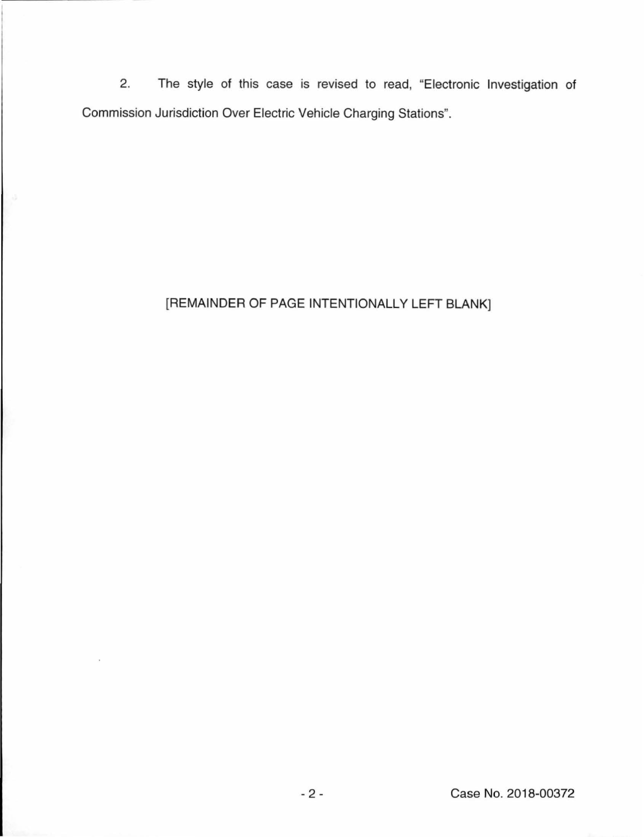2. The style of this case is revised to read, "Electronic Investigation of Commission Jurisdiction Over Electric Vehicle Charging Stations".

# [REMAINDER OF PAGE INTENTIONALLY LEFT BLANK]

×.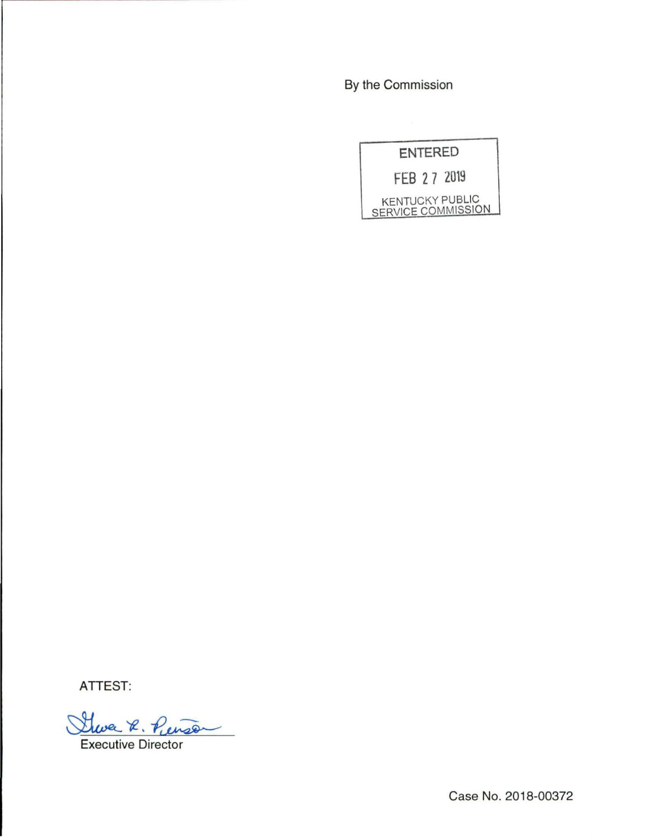By the Commission

| <b>ENTERED</b> |                                                     |
|----------------|-----------------------------------------------------|
|                | FEB 27 2019                                         |
|                | <b>KENTUCKY PUBLIC</b><br><b>SERVICE COMMISSION</b> |

ATTEST:

Shoe R. Penson

**Executive Director** 

Case No. 2018-00372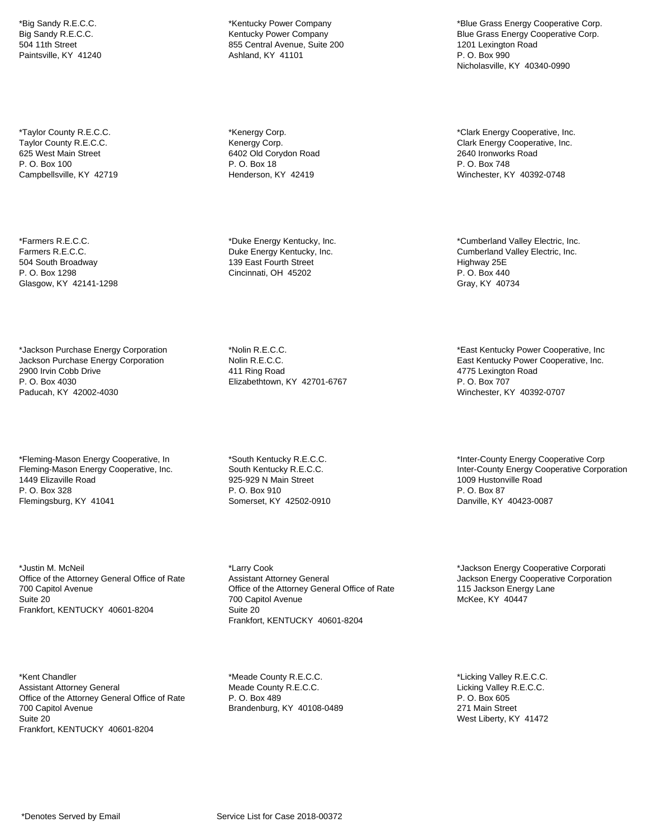\*Big Sandy R.E.C.C. Big Sandy R.E.C.C. 504 11th Street Paintsville, KY 41240

\*Taylor County R.E.C.C. Taylor County R.E.C.C. 625 West Main Street P. O. Box 100 Campbellsville, KY 42719

\*Farmers R.E.C.C. Farmers R.E.C.C. 504 South Broadway P. O. Box 1298 Glasgow, KY 42141-1298

\*Jackson Purchase Energy Corporation Jackson Purchase Energy Corporation 2900 Irvin Cobb Drive P. O. Box 4030 Paducah, KY 42002-4030

\*Fleming-Mason Energy Cooperative, In Fleming-Mason Energy Cooperative, Inc. 1449 Elizaville Road P. O. Box 328 Flemingsburg, KY 41041

\*Justin M. McNeil Office of the Attorney General Office of Rate 700 Capitol Avenue Suite 20 Frankfort, KENTUCKY 40601-8204

\*Kent Chandler Assistant Attorney General Office of the Attorney General Office of Rate 700 Capitol Avenue Suite 20 Frankfort, KENTUCKY 40601-8204

\*Kentucky Power Company Kentucky Power Company 855 Central Avenue, Suite 200 Ashland, KY 41101

\*Kenergy Corp. Kenergy Corp. 6402 Old Corydon Road P. O. Box 18 Henderson, KY 42419

\*Duke Energy Kentucky, Inc. Duke Energy Kentucky, Inc. 139 East Fourth Street Cincinnati, OH 45202

\*Nolin R.E.C.C. Nolin R.E.C.C. 411 Ring Road Elizabethtown, KY 42701-6767

\*South Kentucky R.E.C.C. South Kentucky R.E.C.C. 925-929 N Main Street P. O. Box 910 Somerset, KY 42502-0910

\*Larry Cook Assistant Attorney General Office of the Attorney General Office of Rate 700 Capitol Avenue Suite 20 Frankfort, KENTUCKY 40601-8204

\*Meade County R.E.C.C. Meade County R.E.C.C. P. O. Box 489 Brandenburg, KY 40108-0489

\*Blue Grass Energy Cooperative Corp. Blue Grass Energy Cooperative Corp. 1201 Lexington Road P. O. Box 990 Nicholasville, KY 40340-0990

\*Clark Energy Cooperative, Inc. Clark Energy Cooperative, Inc. 2640 Ironworks Road P. O. Box 748 Winchester, KY 40392-0748

\*Cumberland Valley Electric, Inc. Cumberland Valley Electric, Inc. Highway 25E P. O. Box 440 Gray, KY 40734

\*East Kentucky Power Cooperative, Inc East Kentucky Power Cooperative, Inc. 4775 Lexington Road P. O. Box 707 Winchester, KY 40392-0707

\*Inter-County Energy Cooperative Corp Inter-County Energy Cooperative Corporation 1009 Hustonville Road P. O. Box 87 Danville, KY 40423-0087

\*Jackson Energy Cooperative Corporati Jackson Energy Cooperative Corporation 115 Jackson Energy Lane McKee, KY 40447

\*Licking Valley R.E.C.C. Licking Valley R.E.C.C. P. O. Box 605 271 Main Street West Liberty, KY 41472